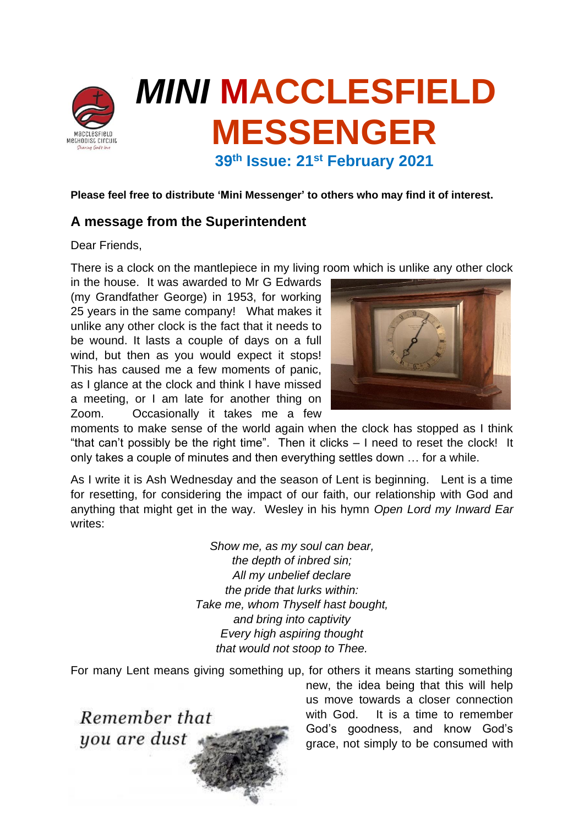

**Please feel free to distribute 'Mini Messenger' to others who may find it of interest.**

# **A message from the Superintendent**

Dear Friends,

There is a clock on the mantlepiece in my living room which is unlike any other clock

in the house. It was awarded to Mr G Edwards (my Grandfather George) in 1953, for working 25 years in the same company! What makes it unlike any other clock is the fact that it needs to be wound. It lasts a couple of days on a full wind, but then as you would expect it stops! This has caused me a few moments of panic, as I glance at the clock and think I have missed a meeting, or I am late for another thing on Zoom. Occasionally it takes me a few



moments to make sense of the world again when the clock has stopped as I think "that can't possibly be the right time". Then it clicks – I need to reset the clock! It only takes a couple of minutes and then everything settles down … for a while.

As I write it is Ash Wednesday and the season of Lent is beginning. Lent is a time for resetting, for considering the impact of our faith, our relationship with God and anything that might get in the way. Wesley in his hymn *Open Lord my Inward Ear* writes:

> *Show me, as my soul can bear, the depth of inbred sin; All my unbelief declare the pride that lurks within: Take me, whom Thyself hast bought, and bring into captivity Every high aspiring thought that would not stoop to Thee.*

For many Lent means giving something up, for others it means starting something



new, the idea being that this will help us move towards a closer connection with God. It is a time to remember God's goodness, and know God's grace, not simply to be consumed with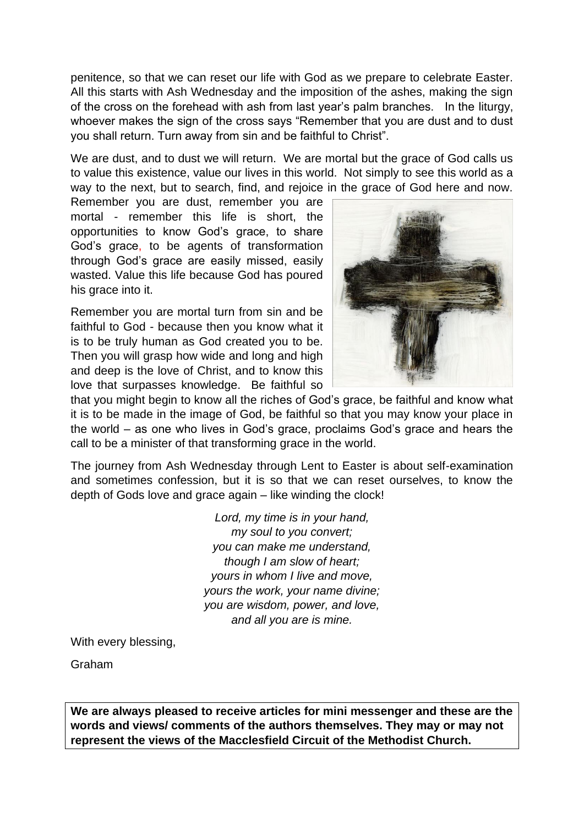penitence, so that we can reset our life with God as we prepare to celebrate Easter. All this starts with Ash Wednesday and the imposition of the ashes, making the sign of the cross on the forehead with ash from last year's palm branches. In the liturgy, whoever makes the sign of the cross says "Remember that you are dust and to dust you shall return. Turn away from sin and be faithful to Christ".

We are dust, and to dust we will return. We are mortal but the grace of God calls us to value this existence, value our lives in this world. Not simply to see this world as a way to the next, but to search, find, and rejoice in the grace of God here and now.

Remember you are dust, remember you are mortal - remember this life is short, the opportunities to know God's grace, to share God's grace, to be agents of transformation through God's grace are easily missed, easily wasted. Value this life because God has poured his grace into it.

Remember you are mortal turn from sin and be faithful to God - because then you know what it is to be truly human as God created you to be. Then you will grasp how wide and long and high and deep is the love of Christ, and to know this love that surpasses knowledge. Be faithful so



that you might begin to know all the riches of God's grace, be faithful and know what it is to be made in the image of God, be faithful so that you may know your place in the world – as one who lives in God's grace, proclaims God's grace and hears the call to be a minister of that transforming grace in the world.

The journey from Ash Wednesday through Lent to Easter is about self-examination and sometimes confession, but it is so that we can reset ourselves, to know the depth of Gods love and grace again – like winding the clock!

> *Lord, my time is in your hand, my soul to you convert; you can make me understand, though I am slow of heart; yours in whom I live and move, yours the work, your name divine; you are wisdom, power, and love, and all you are is mine.*

With every blessing,

Graham

**We are always pleased to receive articles for mini messenger and these are the words and views/ comments of the authors themselves. They may or may not represent the views of the Macclesfield Circuit of the Methodist Church.**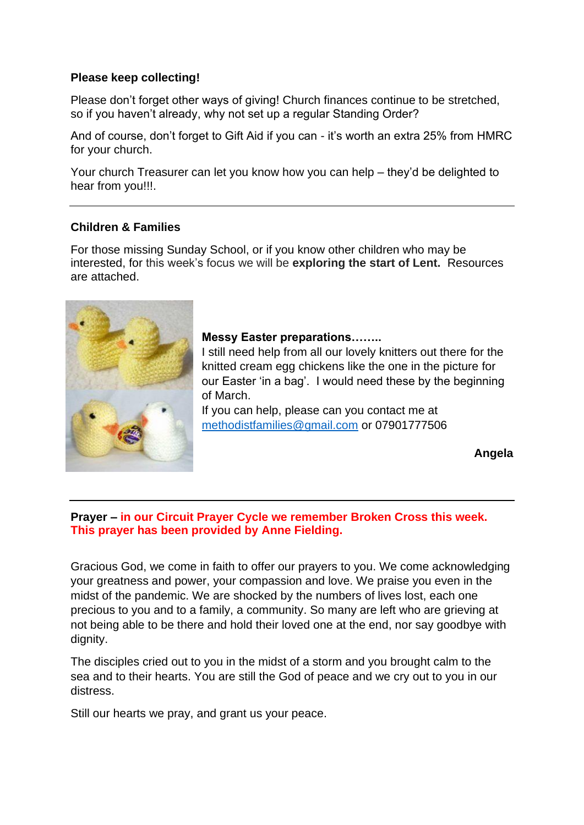### **Please keep collecting!**

Please don't forget other ways of giving! Church finances continue to be stretched, so if you haven't already, why not set up a regular Standing Order?

And of course, don't forget to Gift Aid if you can - it's worth an extra 25% from HMRC for your church.

Your church Treasurer can let you know how you can help – they'd be delighted to hear from you!!!.

### **Children & Families**

For those missing Sunday School, or if you know other children who may be interested, for this week's focus we will be **exploring the start of Lent.** Resources are attached.



### **Messy Easter preparations……..**

I still need help from all our lovely knitters out there for the knitted cream egg chickens like the one in the picture for our Easter 'in a bag'. I would need these by the beginning of March.

If you can help, please can you contact me at [methodistfamilies@gmail.com](mailto:methodistfamilies@gmail.com) or 07901777506

**Angela**

### **Prayer – in our Circuit Prayer Cycle we remember Broken Cross this week. This prayer has been provided by Anne Fielding.**

Gracious God, we come in faith to offer our prayers to you. We come acknowledging your greatness and power, your compassion and love. We praise you even in the midst of the pandemic. We are shocked by the numbers of lives lost, each one precious to you and to a family, a community. So many are left who are grieving at not being able to be there and hold their loved one at the end, nor say goodbye with dignity.

The disciples cried out to you in the midst of a storm and you brought calm to the sea and to their hearts. You are still the God of peace and we cry out to you in our distress.

Still our hearts we pray, and grant us your peace.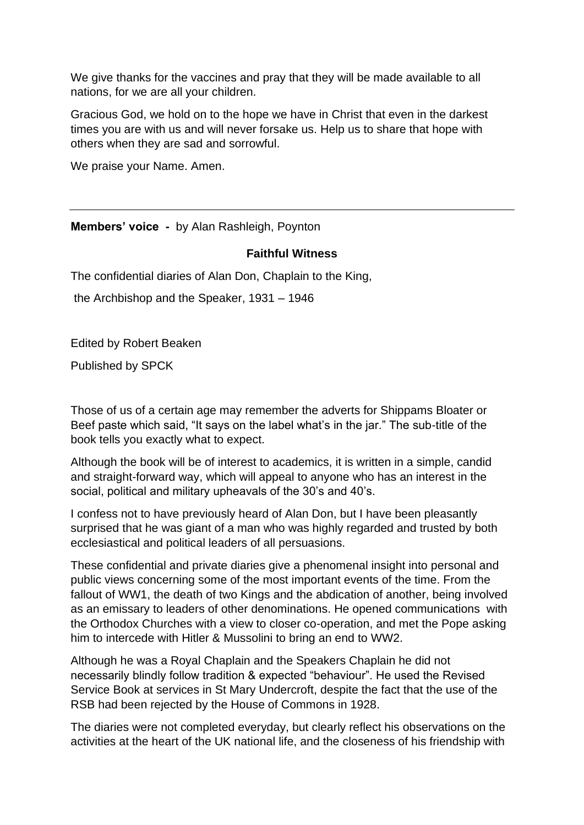We give thanks for the vaccines and pray that they will be made available to all nations, for we are all your children.

Gracious God, we hold on to the hope we have in Christ that even in the darkest times you are with us and will never forsake us. Help us to share that hope with others when they are sad and sorrowful.

We praise your Name. Amen.

**Members' voice -** by Alan Rashleigh, Poynton

### **Faithful Witness**

The confidential diaries of Alan Don, Chaplain to the King,

the Archbishop and the Speaker, 1931 – 1946

Edited by Robert Beaken

Published by SPCK

Those of us of a certain age may remember the adverts for Shippams Bloater or Beef paste which said, "It says on the label what's in the jar." The sub-title of the book tells you exactly what to expect.

Although the book will be of interest to academics, it is written in a simple, candid and straight-forward way, which will appeal to anyone who has an interest in the social, political and military upheavals of the 30's and 40's.

I confess not to have previously heard of Alan Don, but I have been pleasantly surprised that he was giant of a man who was highly regarded and trusted by both ecclesiastical and political leaders of all persuasions.

These confidential and private diaries give a phenomenal insight into personal and public views concerning some of the most important events of the time. From the fallout of WW1, the death of two Kings and the abdication of another, being involved as an emissary to leaders of other denominations. He opened communications with the Orthodox Churches with a view to closer co-operation, and met the Pope asking him to intercede with Hitler & Mussolini to bring an end to WW2.

Although he was a Royal Chaplain and the Speakers Chaplain he did not necessarily blindly follow tradition & expected "behaviour". He used the Revised Service Book at services in St Mary Undercroft, despite the fact that the use of the RSB had been rejected by the House of Commons in 1928.

The diaries were not completed everyday, but clearly reflect his observations on the activities at the heart of the UK national life, and the closeness of his friendship with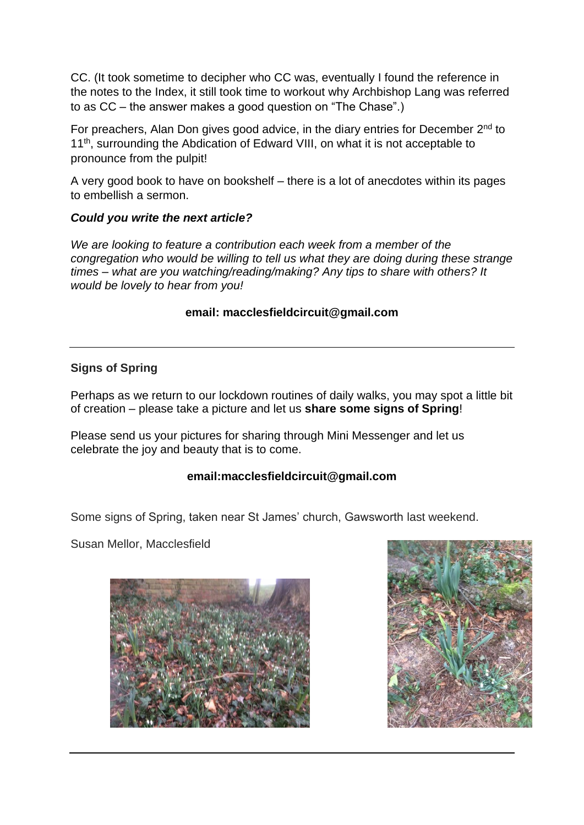CC. (It took sometime to decipher who CC was, eventually I found the reference in the notes to the Index, it still took time to workout why Archbishop Lang was referred to as CC – the answer makes a good question on "The Chase".)

For preachers, Alan Don gives good advice, in the diary entries for December 2<sup>nd</sup> to 11<sup>th</sup>, surrounding the Abdication of Edward VIII, on what it is not acceptable to pronounce from the pulpit!

A very good book to have on bookshelf – there is a lot of anecdotes within its pages to embellish a sermon.

### *Could you write the next article?*

*We are looking to feature a contribution each week from a member of the congregation who would be willing to tell us what they are doing during these strange times – what are you watching/reading/making? Any tips to share with others? It would be lovely to hear from you!* 

### **email: [macclesfieldcircuit@gmail.com](mailto:macclesfieldcircuit@gmail.com)**

### **Signs of Spring**

Perhaps as we return to our lockdown routines of daily walks, you may spot a little bit of creation – please take a picture and let us **share some signs of Spring**!

Please send us your pictures for sharing through Mini Messenger and let us celebrate the joy and beauty that is to come.

### **email:macclesfieldcircuit@gmail.com**

Some signs of Spring, taken near St James' church, Gawsworth last weekend.

Susan Mellor, Macclesfield



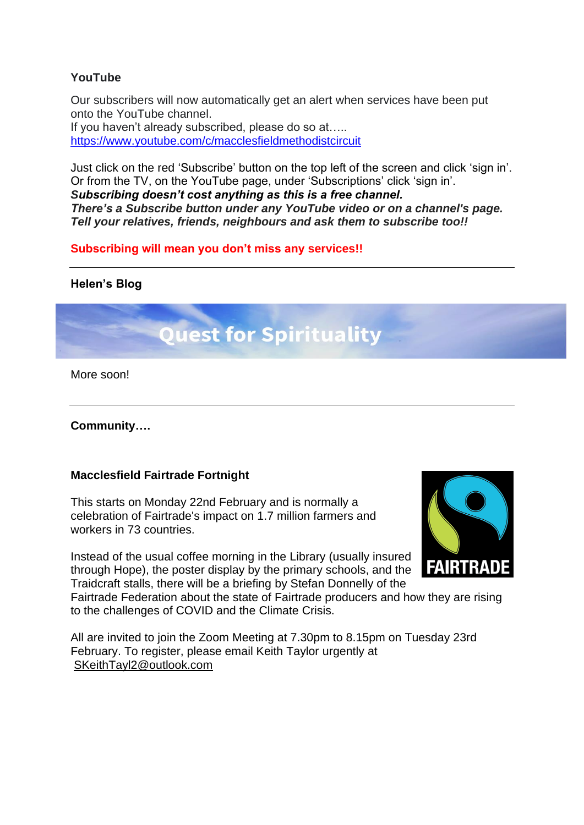### **YouTube**

Our subscribers will now automatically get an alert when services have been put onto the YouTube channel.

If you haven't already subscribed, please do so at….. <https://www.youtube.com/c/macclesfieldmethodistcircuit>

Just click on the red 'Subscribe' button on the top left of the screen and click 'sign in'. Or from the TV, on the YouTube page, under 'Subscriptions' click 'sign in'.

*Subscribing doesn't cost anything as this is a free channel. There's a Subscribe button under any YouTube video or on a channel's page. Tell your relatives, friends, neighbours and ask them to subscribe too!!*

**Subscribing will mean you don't miss any services!!**

### **Helen's Blog**

# **Quest for Spirituality**

More soon!

### **Community….**

### **Macclesfield Fairtrade Fortnight**

This starts on Monday 22nd February and is normally a celebration of Fairtrade's impact on 1.7 million farmers and workers in 73 countries.

Instead of the usual coffee morning in the Library (usually insured through Hope), the poster display by the primary schools, and the Traidcraft stalls, there will be a briefing by Stefan Donnelly of the



Fairtrade Federation about the state of Fairtrade producers and how they are rising to the challenges of COVID and the Climate Crisis.

All are invited to join the Zoom Meeting at 7.30pm to 8.15pm on Tuesday 23rd February. To register, please email Keith Taylor urgently at [SKeithTayl2@outlook.com](mailto:SKeithTayl2@outlook.com)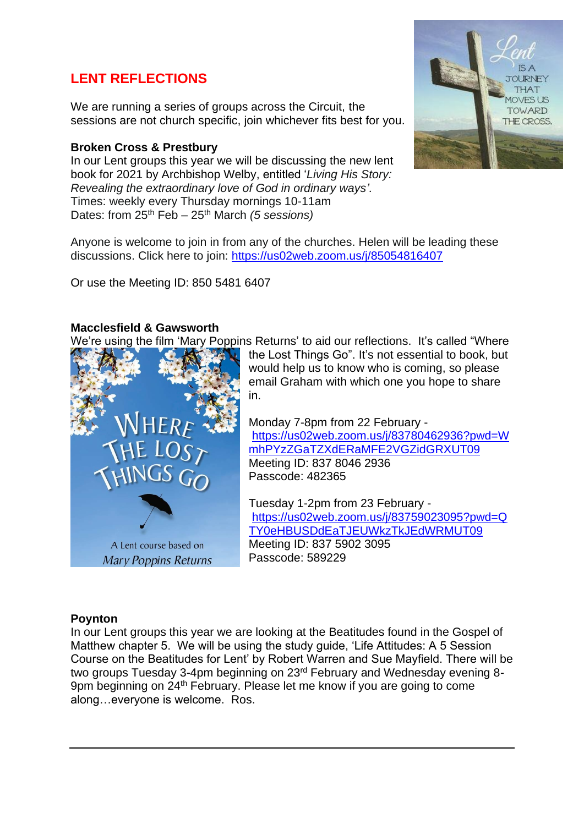# **LENT REFLECTIONS**

We are running a series of groups across the Circuit, the sessions are not church specific, join whichever fits best for you.

### **Broken Cross & Prestbury**

In our Lent groups this year we will be discussing the new lent book for 2021 by Archbishop Welby, entitled '*Living His Story: Revealing the extraordinary love of God in ordinary ways'.*  Times: weekly every Thursday mornings 10-11am Dates: from 25th Feb – 25th March *(5 sessions)*



Anyone is welcome to join in from any of the churches. Helen will be leading these discussions. Click here to join:<https://us02web.zoom.us/j/85054816407>

Or use the Meeting ID: 850 5481 6407

### **Macclesfield & Gawsworth**

We're using the film 'Mary Poppins Returns' to aid our reflections. It's called "Where



the Lost Things Go". It's not essential to book, but would help us to know who is coming, so please email Graham with which one you hope to share in.

Monday 7-8pm from 22 February [https://us02web.zoom.us/j/83780462936?pwd=W](https://us02web.zoom.us/j/83780462936?pwd=WmhPYzZGaTZXdERaMFE2VGZidGRXUT09) [mhPYzZGaTZXdERaMFE2VGZidGRXUT09](https://us02web.zoom.us/j/83780462936?pwd=WmhPYzZGaTZXdERaMFE2VGZidGRXUT09) Meeting ID: 837 8046 2936 Passcode: 482365

Tuesday 1-2pm from 23 February [https://us02web.zoom.us/j/83759023095?pwd=Q](https://us02web.zoom.us/j/83759023095?pwd=QTY0eHBUSDdEaTJEUWkzTkJEdWRMUT09) [TY0eHBUSDdEaTJEUWkzTkJEdWRMUT09](https://us02web.zoom.us/j/83759023095?pwd=QTY0eHBUSDdEaTJEUWkzTkJEdWRMUT09) Meeting ID: 837 5902 3095 Passcode: 589229

### **Poynton**

In our Lent groups this year we are looking at the Beatitudes found in the Gospel of Matthew chapter 5. We will be using the study guide, 'Life Attitudes: A 5 Session Course on the Beatitudes for Lent' by Robert Warren and Sue Mayfield. There will be two groups Tuesday 3-4pm beginning on 23rd February and Wednesday evening 8- 9pm beginning on 24<sup>th</sup> February. Please let me know if you are going to come along…everyone is welcome. Ros.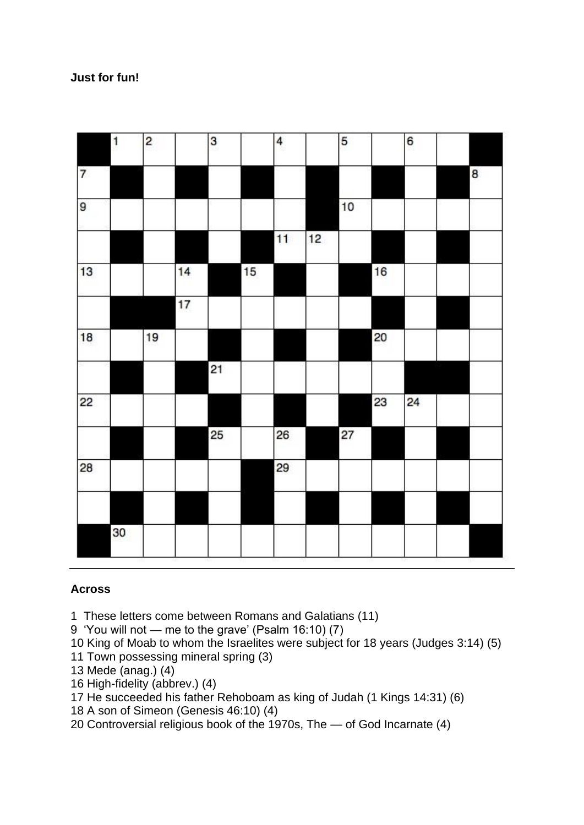### **Just for fun!**

| 6<br>5   |   |
|----------|---|
|          | 8 |
| 10       |   |
|          |   |
| 16       |   |
|          |   |
| 20       |   |
|          |   |
| 23<br>24 |   |
| 27       |   |
|          |   |
|          |   |
|          |   |
|          |   |

### **Across**

1 These letters come between Romans and Galatians (11)

9 'You will not — me to the grave' (Psalm 16:10) (7)

10 King of Moab to whom the Israelites were subject for 18 years (Judges 3:14) (5)

11 Town possessing mineral spring (3)

13 Mede (anag.) (4)

16 High-fidelity (abbrev.) (4)

17 He succeeded his father Rehoboam as king of Judah (1 Kings 14:31) (6)

18 A son of Simeon (Genesis 46:10) (4)

20 Controversial religious book of the 1970s, The — of God Incarnate (4)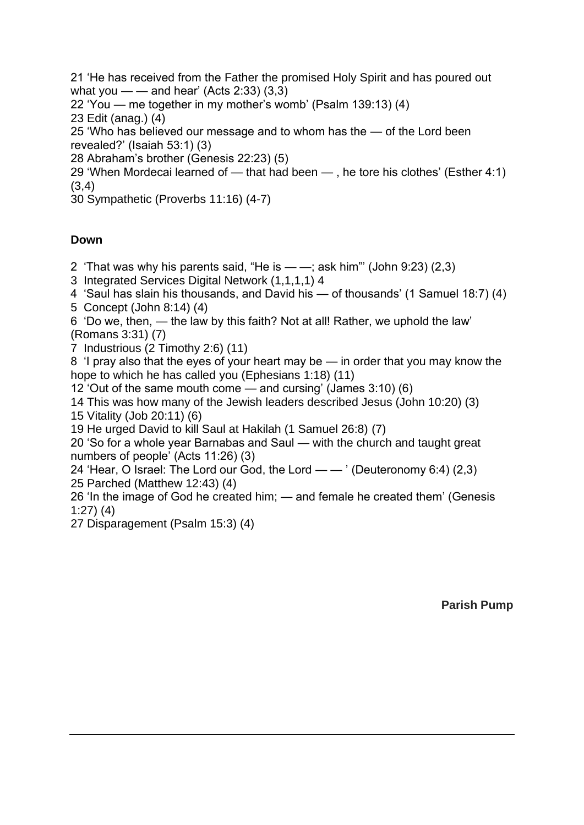21 'He has received from the Father the promised Holy Spirit and has poured out what you  $\frac{1}{2}$  and hear' (Acts 2:33) (3,3)

22 'You — me together in my mother's womb' (Psalm 139:13) (4)

23 Edit (anag.) (4)

25 'Who has believed our message and to whom has the — of the Lord been revealed?' (Isaiah 53:1) (3)

28 Abraham's brother (Genesis 22:23) (5)

29 'When Mordecai learned of — that had been — , he tore his clothes' (Esther 4:1) (3,4)

30 Sympathetic (Proverbs 11:16) (4-7)

### **Down**

2 'That was why his parents said, "He is — —; ask him"' (John 9:23) (2,3)

3 Integrated Services Digital Network (1,1,1,1) 4

4 'Saul has slain his thousands, and David his — of thousands' (1 Samuel 18:7) (4)

5 Concept (John 8:14) (4)

6 'Do we, then, — the law by this faith? Not at all! Rather, we uphold the law' (Romans 3:31) (7)

7 Industrious (2 Timothy 2:6) (11)

8 'I pray also that the eyes of your heart may be — in order that you may know the hope to which he has called you (Ephesians 1:18) (11)

12 'Out of the same mouth come — and cursing' (James 3:10) (6)

14 This was how many of the Jewish leaders described Jesus (John 10:20) (3) 15 Vitality (Job 20:11) (6)

19 He urged David to kill Saul at Hakilah (1 Samuel 26:8) (7)

20 'So for a whole year Barnabas and Saul — with the church and taught great numbers of people' (Acts 11:26) (3)

24 'Hear, O Israel: The Lord our God, the Lord — — ' (Deuteronomy 6:4) (2,3) 25 Parched (Matthew 12:43) (4)

26 'In the image of God he created him; — and female he created them' (Genesis 1:27) (4)

27 Disparagement (Psalm 15:3) (4)

**Parish Pump**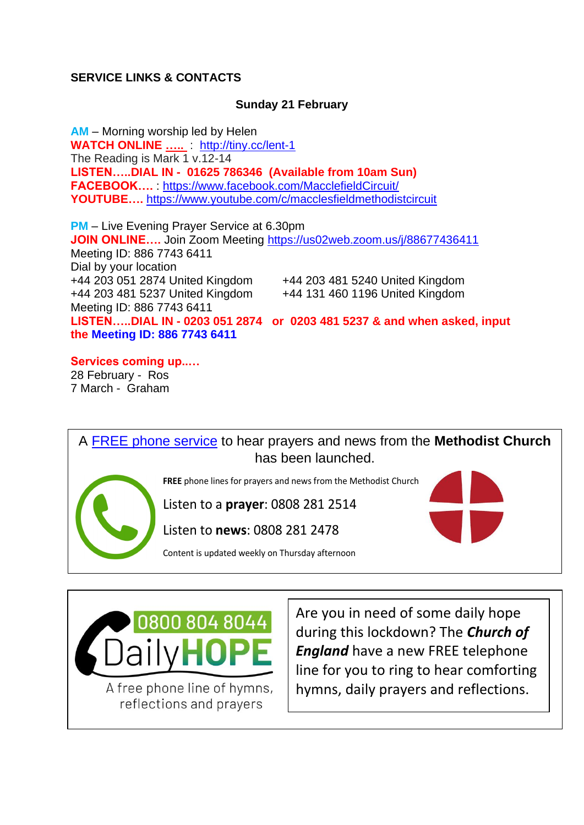### **SERVICE LINKS & CONTACTS**

### **Sunday 21 February**

**AM** – Morning worship led by Helen **WATCH ONLINE …..** : <http://tiny.cc/lent-1> The Reading is Mark 1 v.12-14 **LISTEN…..DIAL IN - 01625 786346 (Available from 10am Sun) FACEBOOK….** :<https://www.facebook.com/MacclefieldCircuit/> **YOUTUBE….** <https://www.youtube.com/c/macclesfieldmethodistcircuit>

**PM** – Live Evening Prayer Service at 6.30pm **JOIN ONLINE….** Join Zoom Meeting <https://us02web.zoom.us/j/88677436411> Meeting ID: 886 7743 6411 Dial by your location +44 203 051 2874 United Kingdom +44 203 481 5240 United Kingdom +44 203 481 5237 United Kingdom +44 131 460 1196 United Kingdom Meeting ID: 886 7743 6411 **LISTEN…..DIAL IN - 0203 051 2874 or 0203 481 5237 & and when asked, input the Meeting ID: 886 7743 6411**

**Services coming up..…** 28 February - Ros 7 March - Graham

A [FREE phone service](https://methodist-news.org.uk/BVI-6ULJM-VB2WZ3-41L7QZ-1/c.aspx) to hear prayers and news from the **Methodist Church** has been launched.



**FREE** phone lines for prayers and news from the Methodist Church

Listen to a **prayer**: 0808 281 2514

Listen to **news**: 0808 281 2478

Content is updated weekly on Thursday afternoon



A free phone line of hymns, reflections and prayers

Are you in need of some daily hope during this lockdown? The *Church of England* have a new FREE telephone line for you to ring to hear comforting hymns, daily prayers and reflections.